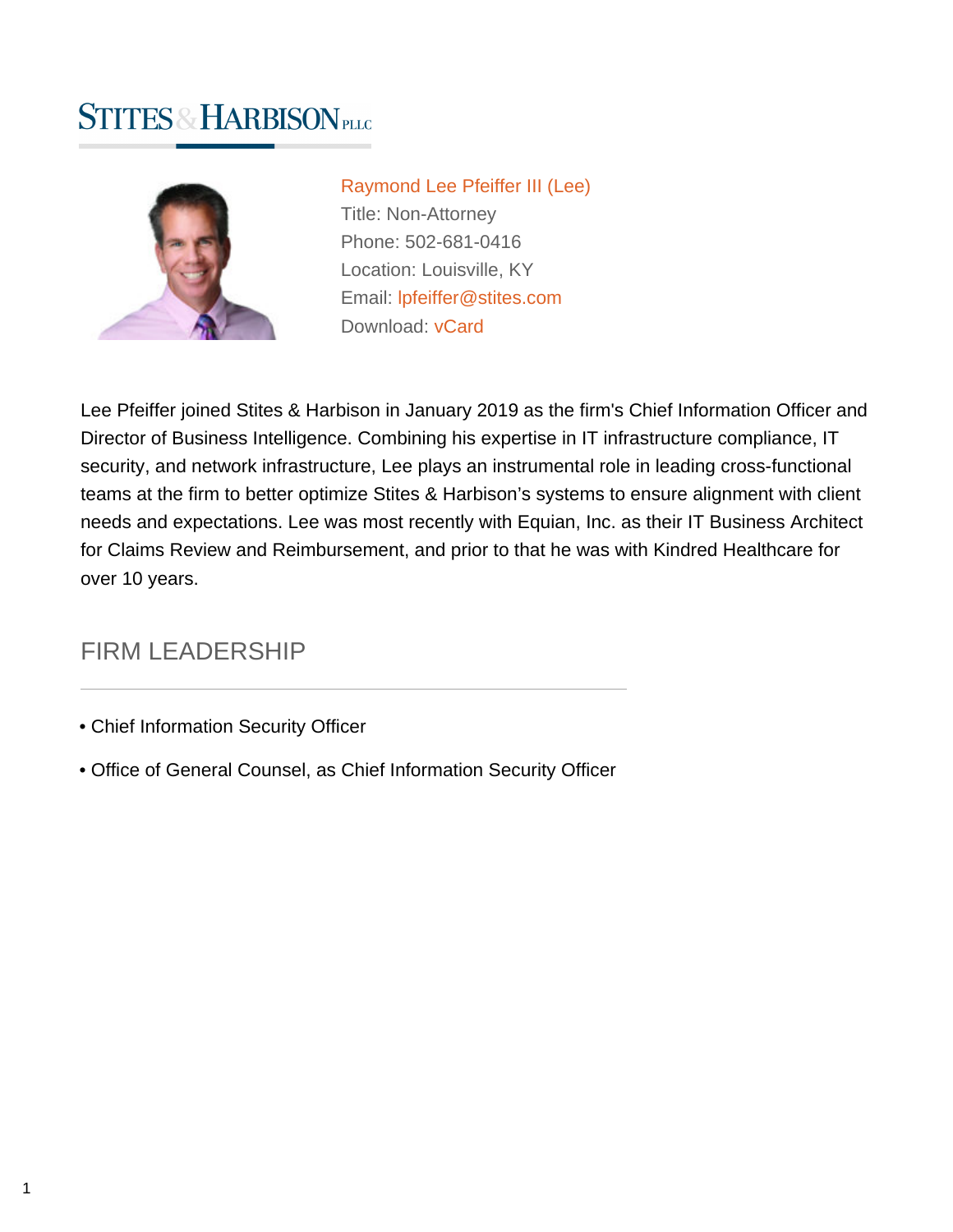# **STITES & HARBISON PLLG**



[Raymond Lee Pfeiffer III \(Lee\)](https://www.stites.com/attorneys/raymond-pfeiffer) Title: Non-Attorney Phone: 502-681-0416 Location: Louisville, KY Email: [lpfeiffer@stites.com](mailto:lpfeiffer@stites.com) Download: [vCard](https://www.stites.com/vcard/raymond-pfeiffer)

Lee Pfeiffer joined Stites & Harbison in January 2019 as the firm's Chief Information Officer and Director of Business Intelligence. Combining his expertise in IT infrastructure compliance, IT security, and network infrastructure, Lee plays an instrumental role in leading cross-functional teams at the firm to better optimize Stites & Harbison's systems to ensure alignment with client needs and expectations. Lee was most recently with Equian, Inc. as their IT Business Architect for Claims Review and Reimbursement, and prior to that he was with Kindred Healthcare for over 10 years.

## FIRM LEADERSHIP

- Chief Information Security Officer
- Office of General Counsel, as Chief Information Security Officer